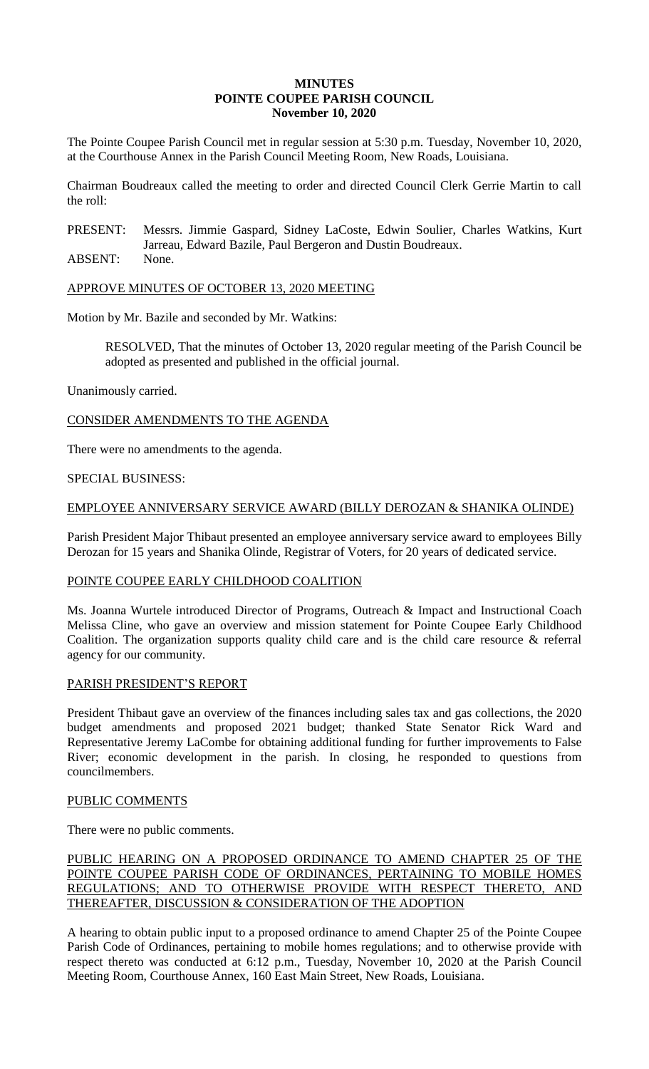#### **MINUTES POINTE COUPEE PARISH COUNCIL November 10, 2020**

The Pointe Coupee Parish Council met in regular session at 5:30 p.m. Tuesday, November 10, 2020, at the Courthouse Annex in the Parish Council Meeting Room, New Roads, Louisiana.

Chairman Boudreaux called the meeting to order and directed Council Clerk Gerrie Martin to call the roll:

PRESENT: Messrs. Jimmie Gaspard, Sidney LaCoste, Edwin Soulier, Charles Watkins, Kurt Jarreau, Edward Bazile, Paul Bergeron and Dustin Boudreaux.

ABSENT: None.

APPROVE MINUTES OF OCTOBER 13, 2020 MEETING

Motion by Mr. Bazile and seconded by Mr. Watkins:

RESOLVED, That the minutes of October 13, 2020 regular meeting of the Parish Council be adopted as presented and published in the official journal.

Unanimously carried.

CONSIDER AMENDMENTS TO THE AGENDA

There were no amendments to the agenda.

### SPECIAL BUSINESS:

### EMPLOYEE ANNIVERSARY SERVICE AWARD (BILLY DEROZAN & SHANIKA OLINDE)

Parish President Major Thibaut presented an employee anniversary service award to employees Billy Derozan for 15 years and Shanika Olinde, Registrar of Voters, for 20 years of dedicated service.

### POINTE COUPEE EARLY CHILDHOOD COALITION

Ms. Joanna Wurtele introduced Director of Programs, Outreach & Impact and Instructional Coach Melissa Cline, who gave an overview and mission statement for Pointe Coupee Early Childhood Coalition. The organization supports quality child care and is the child care resource & referral agency for our community.

#### PARISH PRESIDENT'S REPORT

President Thibaut gave an overview of the finances including sales tax and gas collections, the 2020 budget amendments and proposed 2021 budget; thanked State Senator Rick Ward and Representative Jeremy LaCombe for obtaining additional funding for further improvements to False River; economic development in the parish. In closing, he responded to questions from councilmembers.

### PUBLIC COMMENTS

There were no public comments.

## PUBLIC HEARING ON A PROPOSED ORDINANCE TO AMEND CHAPTER 25 OF THE POINTE COUPEE PARISH CODE OF ORDINANCES, PERTAINING TO MOBILE HOMES REGULATIONS; AND TO OTHERWISE PROVIDE WITH RESPECT THERETO, AND THEREAFTER, DISCUSSION & CONSIDERATION OF THE ADOPTION

A hearing to obtain public input to a proposed ordinance to amend Chapter 25 of the Pointe Coupee Parish Code of Ordinances, pertaining to mobile homes regulations; and to otherwise provide with respect thereto was conducted at 6:12 p.m., Tuesday, November 10, 2020 at the Parish Council Meeting Room, Courthouse Annex, 160 East Main Street, New Roads, Louisiana.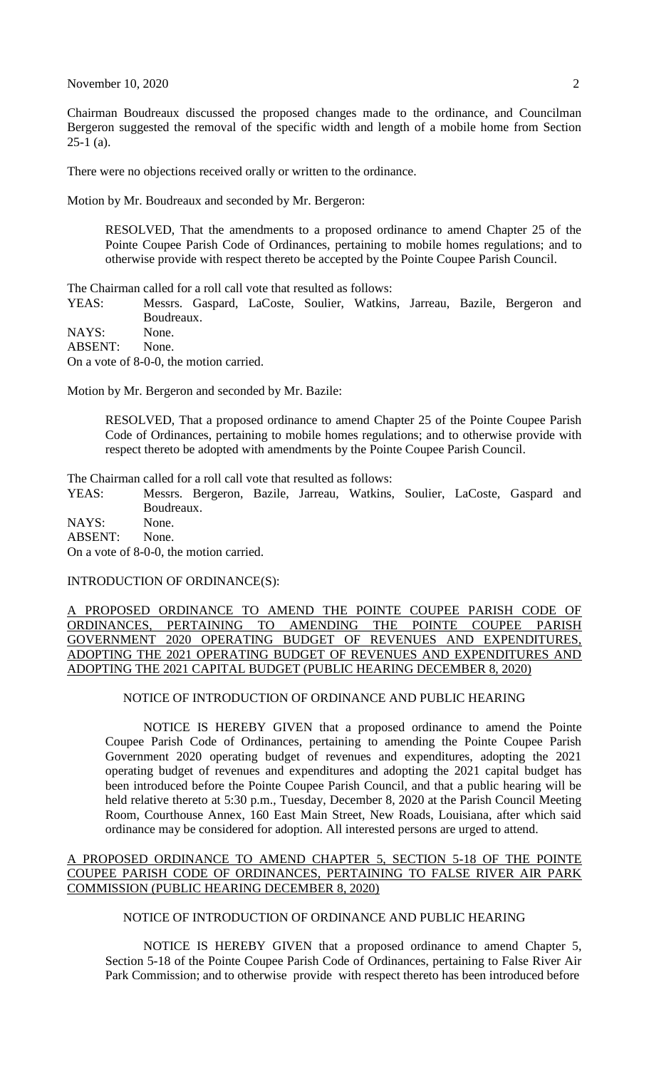November 10, 2020 2

Chairman Boudreaux discussed the proposed changes made to the ordinance, and Councilman Bergeron suggested the removal of the specific width and length of a mobile home from Section  $25-1$  (a).

There were no objections received orally or written to the ordinance.

Motion by Mr. Boudreaux and seconded by Mr. Bergeron:

RESOLVED, That the amendments to a proposed ordinance to amend Chapter 25 of the Pointe Coupee Parish Code of Ordinances, pertaining to mobile homes regulations; and to otherwise provide with respect thereto be accepted by the Pointe Coupee Parish Council.

The Chairman called for a roll call vote that resulted as follows:

YEAS: Messrs. Gaspard, LaCoste, Soulier, Watkins, Jarreau, Bazile, Bergeron and Boudreaux.

NAYS: None.

ABSENT: None.

On a vote of 8-0-0, the motion carried.

Motion by Mr. Bergeron and seconded by Mr. Bazile:

RESOLVED, That a proposed ordinance to amend Chapter 25 of the Pointe Coupee Parish Code of Ordinances, pertaining to mobile homes regulations; and to otherwise provide with respect thereto be adopted with amendments by the Pointe Coupee Parish Council.

The Chairman called for a roll call vote that resulted as follows:

YEAS: Messrs. Bergeron, Bazile, Jarreau, Watkins, Soulier, LaCoste, Gaspard and Boudreaux.

NAYS: None. ABSENT: None. On a vote of 8-0-0, the motion carried.

INTRODUCTION OF ORDINANCE(S):

A PROPOSED ORDINANCE TO AMEND THE POINTE COUPEE PARISH CODE OF ORDINANCES, PERTAINING TO AMENDING THE POINTE COUPEE PARISH GOVERNMENT 2020 OPERATING BUDGET OF REVENUES AND EXPENDITURES, ADOPTING THE 2021 OPERATING BUDGET OF REVENUES AND EXPENDITURES AND ADOPTING THE 2021 CAPITAL BUDGET (PUBLIC HEARING DECEMBER 8, 2020)

NOTICE OF INTRODUCTION OF ORDINANCE AND PUBLIC HEARING

NOTICE IS HEREBY GIVEN that a proposed ordinance to amend the Pointe Coupee Parish Code of Ordinances, pertaining to amending the Pointe Coupee Parish Government 2020 operating budget of revenues and expenditures, adopting the 2021 operating budget of revenues and expenditures and adopting the 2021 capital budget has been introduced before the Pointe Coupee Parish Council, and that a public hearing will be held relative thereto at 5:30 p.m., Tuesday, December 8, 2020 at the Parish Council Meeting Room, Courthouse Annex, 160 East Main Street, New Roads, Louisiana, after which said ordinance may be considered for adoption. All interested persons are urged to attend.

#### A PROPOSED ORDINANCE TO AMEND CHAPTER 5, SECTION 5-18 OF THE POINTE COUPEE PARISH CODE OF ORDINANCES, PERTAINING TO FALSE RIVER AIR PARK COMMISSION (PUBLIC HEARING DECEMBER 8, 2020)

## NOTICE OF INTRODUCTION OF ORDINANCE AND PUBLIC HEARING

NOTICE IS HEREBY GIVEN that a proposed ordinance to amend Chapter 5, Section 5-18 of the Pointe Coupee Parish Code of Ordinances, pertaining to False River Air Park Commission; and to otherwise provide with respect thereto has been introduced before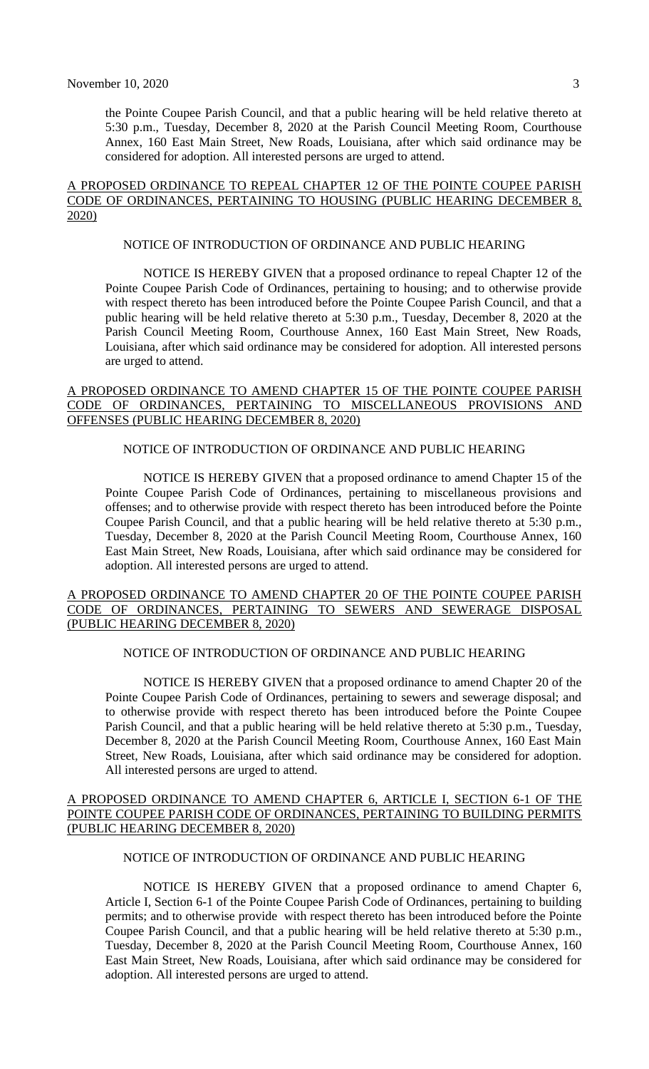the Pointe Coupee Parish Council, and that a public hearing will be held relative thereto at 5:30 p.m., Tuesday, December 8, 2020 at the Parish Council Meeting Room, Courthouse Annex, 160 East Main Street, New Roads, Louisiana, after which said ordinance may be considered for adoption. All interested persons are urged to attend.

#### A PROPOSED ORDINANCE TO REPEAL CHAPTER 12 OF THE POINTE COUPEE PARISH CODE OF ORDINANCES, PERTAINING TO HOUSING (PUBLIC HEARING DECEMBER 8, 2020)

#### NOTICE OF INTRODUCTION OF ORDINANCE AND PUBLIC HEARING

NOTICE IS HEREBY GIVEN that a proposed ordinance to repeal Chapter 12 of the Pointe Coupee Parish Code of Ordinances, pertaining to housing; and to otherwise provide with respect thereto has been introduced before the Pointe Coupee Parish Council, and that a public hearing will be held relative thereto at 5:30 p.m., Tuesday, December 8, 2020 at the Parish Council Meeting Room, Courthouse Annex, 160 East Main Street, New Roads, Louisiana, after which said ordinance may be considered for adoption. All interested persons are urged to attend.

### A PROPOSED ORDINANCE TO AMEND CHAPTER 15 OF THE POINTE COUPEE PARISH CODE OF ORDINANCES, PERTAINING TO MISCELLANEOUS PROVISIONS AND OFFENSES (PUBLIC HEARING DECEMBER 8, 2020)

### NOTICE OF INTRODUCTION OF ORDINANCE AND PUBLIC HEARING

NOTICE IS HEREBY GIVEN that a proposed ordinance to amend Chapter 15 of the Pointe Coupee Parish Code of Ordinances, pertaining to miscellaneous provisions and offenses; and to otherwise provide with respect thereto has been introduced before the Pointe Coupee Parish Council, and that a public hearing will be held relative thereto at 5:30 p.m., Tuesday, December 8, 2020 at the Parish Council Meeting Room, Courthouse Annex, 160 East Main Street, New Roads, Louisiana, after which said ordinance may be considered for adoption. All interested persons are urged to attend.

#### A PROPOSED ORDINANCE TO AMEND CHAPTER 20 OF THE POINTE COUPEE PARISH CODE OF ORDINANCES, PERTAINING TO SEWERS AND SEWERAGE DISPOSAL (PUBLIC HEARING DECEMBER 8, 2020)

# NOTICE OF INTRODUCTION OF ORDINANCE AND PUBLIC HEARING

NOTICE IS HEREBY GIVEN that a proposed ordinance to amend Chapter 20 of the Pointe Coupee Parish Code of Ordinances, pertaining to sewers and sewerage disposal; and to otherwise provide with respect thereto has been introduced before the Pointe Coupee Parish Council, and that a public hearing will be held relative thereto at 5:30 p.m., Tuesday, December 8, 2020 at the Parish Council Meeting Room, Courthouse Annex, 160 East Main Street, New Roads, Louisiana, after which said ordinance may be considered for adoption. All interested persons are urged to attend.

#### A PROPOSED ORDINANCE TO AMEND CHAPTER 6, ARTICLE I, SECTION 6-1 OF THE POINTE COUPEE PARISH CODE OF ORDINANCES, PERTAINING TO BUILDING PERMITS (PUBLIC HEARING DECEMBER 8, 2020)

### NOTICE OF INTRODUCTION OF ORDINANCE AND PUBLIC HEARING

NOTICE IS HEREBY GIVEN that a proposed ordinance to amend Chapter 6, Article I, Section 6-1 of the Pointe Coupee Parish Code of Ordinances, pertaining to building permits; and to otherwise provide with respect thereto has been introduced before the Pointe Coupee Parish Council, and that a public hearing will be held relative thereto at 5:30 p.m., Tuesday, December 8, 2020 at the Parish Council Meeting Room, Courthouse Annex, 160 East Main Street, New Roads, Louisiana, after which said ordinance may be considered for adoption. All interested persons are urged to attend.